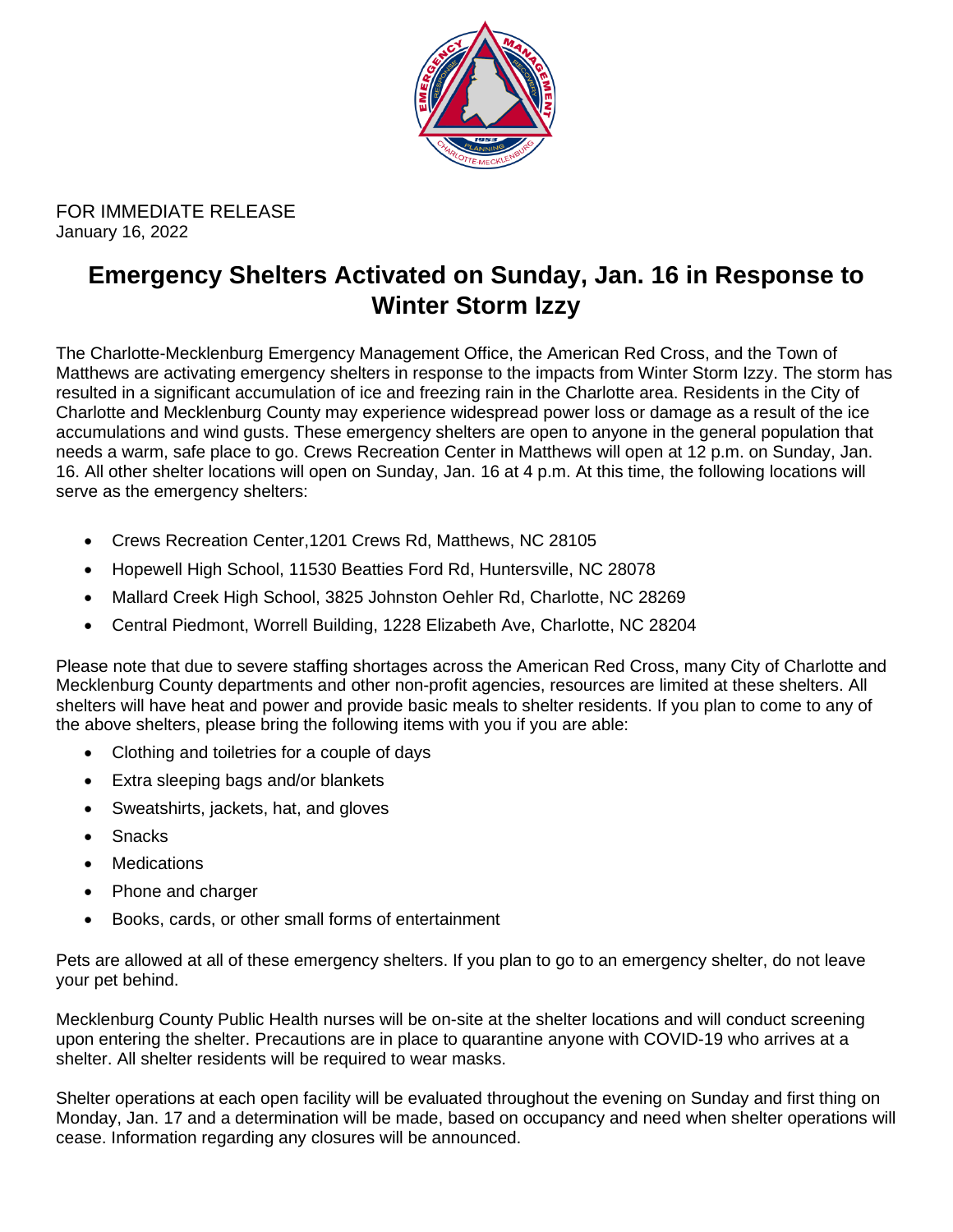

FOR IMMEDIATE RELEASE January 16, 2022

## **Emergency Shelters Activated on Sunday, Jan. 16 in Response to Winter Storm Izzy**

The Charlotte-Mecklenburg Emergency Management Office, the American Red Cross, and the Town of Matthews are activating emergency shelters in response to the impacts from Winter Storm Izzy. The storm has resulted in a significant accumulation of ice and freezing rain in the Charlotte area. Residents in the City of Charlotte and Mecklenburg County may experience widespread power loss or damage as a result of the ice accumulations and wind gusts. These emergency shelters are open to anyone in the general population that needs a warm, safe place to go. Crews Recreation Center in Matthews will open at 12 p.m. on Sunday, Jan. 16. All other shelter locations will open on Sunday, Jan. 16 at 4 p.m. At this time, the following locations will serve as the emergency shelters:

- Crews Recreation Center,1201 Crews Rd, Matthews, NC 28105
- Hopewell High School, 11530 Beatties Ford Rd, Huntersville, NC 28078
- Mallard Creek High School, 3825 Johnston Oehler Rd, Charlotte, NC 28269
- Central Piedmont, Worrell Building, 1228 Elizabeth Ave, Charlotte, NC 28204

Please note that due to severe staffing shortages across the American Red Cross, many City of Charlotte and Mecklenburg County departments and other non-profit agencies, resources are limited at these shelters. All shelters will have heat and power and provide basic meals to shelter residents. If you plan to come to any of the above shelters, please bring the following items with you if you are able:

- Clothing and toiletries for a couple of days
- Extra sleeping bags and/or blankets
- Sweatshirts, jackets, hat, and gloves
- **Snacks**
- **Medications**
- Phone and charger
- Books, cards, or other small forms of entertainment

Pets are allowed at all of these emergency shelters. If you plan to go to an emergency shelter, do not leave your pet behind.

Mecklenburg County Public Health nurses will be on-site at the shelter locations and will conduct screening upon entering the shelter. Precautions are in place to quarantine anyone with COVID-19 who arrives at a shelter. All shelter residents will be required to wear masks.

Shelter operations at each open facility will be evaluated throughout the evening on Sunday and first thing on Monday, Jan. 17 and a determination will be made, based on occupancy and need when shelter operations will cease. Information regarding any closures will be announced.